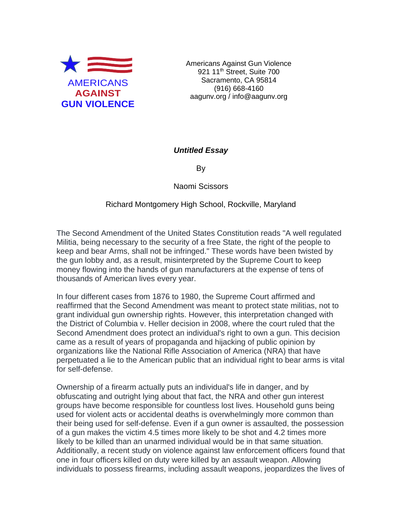

Americans Against Gun Violence 921 11<sup>th</sup> Street, Suite 700 Sacramento, CA 95814 (916) 668-4160 aagunv.org / info@aagunv.org

## *Untitled Essay*

By

Naomi Scissors

## Richard Montgomery High School, Rockville, Maryland

The Second Amendment of the United States Constitution reads "A well regulated Militia, being necessary to the security of a free State, the right of the people to keep and bear Arms, shall not be infringed." These words have been twisted by the gun lobby and, as a result, misinterpreted by the Supreme Court to keep money flowing into the hands of gun manufacturers at the expense of tens of thousands of American lives every year.

In four different cases from 1876 to 1980, the Supreme Court affirmed and reaffirmed that the Second Amendment was meant to protect state militias, not to grant individual gun ownership rights. However, this interpretation changed with the District of Columbia v. Heller decision in 2008, where the court ruled that the Second Amendment does protect an individual's right to own a gun. This decision came as a result of years of propaganda and hijacking of public opinion by organizations like the National Rifle Association of America (NRA) that have perpetuated a lie to the American public that an individual right to bear arms is vital for self-defense.

Ownership of a firearm actually puts an individual's life in danger, and by obfuscating and outright lying about that fact, the NRA and other gun interest groups have become responsible for countless lost lives. Household guns being used for violent acts or accidental deaths is overwhelmingly more common than their being used for self-defense. Even if a gun owner is assaulted, the possession of a gun makes the victim 4.5 times more likely to be shot and 4.2 times more likely to be killed than an unarmed individual would be in that same situation. Additionally, a recent study on violence against law enforcement officers found that one in four officers killed on duty were killed by an assault weapon. Allowing individuals to possess firearms, including assault weapons, jeopardizes the lives of